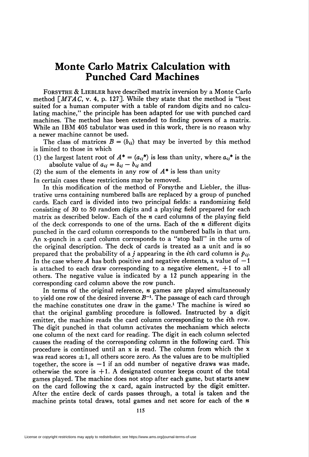# Monte Carlo Matrix Calculation with Punched Card Machines

Forsythe & Liebler have described matrix inversion by a Monte Carlo method  $\lceil MTAG, v. 4, p. 127 \rceil$ . While they state that the method is "best suited for a human computer with a table of random digits and no calculating machine," the principle has been adapted for use with punched card machines. The method has been extended to finding powers of a matrix. While an IBM 405 tabulator was used in this work, there is no reason why a newer machine cannot be used.

The class of matrices  $B = (b_{ij})$  that may be inverted by this method is limited to those in which

- (1) the largest latent root of  $A^* = (a_{ij}^*)$  is less than unity, where  $a_{ij}^*$  is the absolute value of  $a_{ij} = \delta_{ij} - b_{ij}$  and
- (2) the sum of the elements in any row of  $A^*$  is less than unity

In certain cases these restrictions may be removed.

In this modification of the method of Forsythe and Liebler, the illustrative urns containing numbered balls are replaced by a group of punched cards. Each card is divided into two principal fields: a randomizing field consisting of 30 to 50 random digits and a playing field prepared for each matrix as described below. Each of the *n* card columns of the playing field of the deck corresponds to one of the urns. Each of the  $n$  different digits punched in the card column corresponds to the numbered balls in that urn. An x-punch in a card column corresponds to a "stop ball" in the urns of the original description. The deck of cards is treated as a unit and is so prepared that the probability of a j appearing in the *i*th card column is  $p_{ij}$ . In the case where A has both positive and negative elements, a value of  $-1$ is attached to each draw corresponding to a negative element,  $+1$  to all others. The negative value is indicated by a 12 punch appearing in the corresponding card column above the row punch.

In terms of the original reference,  $n$  games are played simultaneously to yield one row of the desired inverse  $B^{-1}$ . The passage of each card through the machine constitutes one draw in the game.<sup>1</sup> The machine is wired so that the original gambling procedure is followed. Instructed by a digit emitter, the machine reads the card column corresponding to the *i*th row. The digit punched in that column activates the mechanism which selects one column of the next card for reading. The digit in each column selected causes the reading of the corresponding column in the following card. This procedure is continued until an x is read. The column from which the x was read scores  $\pm 1$ , all others score zero. As the values are to be multiplied together, the score is  $-1$  if an odd number of negative draws was made, otherwise the score is  $+1$ . A designated counter keeps count of the total games played. The machine does not stop after each game, but starts anew on the card following the x card, again instructed by the digit emitter. After the entire deck of cards passes through, a total is taken and the machine prints total draws, total games and net score for each of the  $n$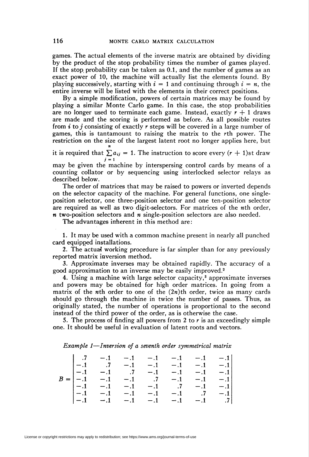games. The actual elements of the inverse matrix are obtained by dividing by the product of the stop probability times the number of games played. If the stop, probability can be taken as 0.1, and the number of games as an exact power of 10, the machine will actually list the elements found. By playing successively, starting with  $i = 1$  and continuing through  $i = n$ , the entire inverse will be listed with the elements in their correct positions.

By a simple modification, powers of certain matrices may be found by playing a similar Monte Carlo game. In this case, the stop probabilities are no longer used to terminate each game. Instead, exactly  $r + 1$  draws are made and the scoring is performed as before. As all possible routes from *i* to *j* consisting of exactly *r* steps will be covered in a large number of games, this is tantamount to raising the matrix to the rth power. The restriction on the size of the largest latent root no longer applies here, but n

it is required that  $\sum a_{ij} = 1$ . The instruction to score every  $(r + 1)$ st draw  $j = 1$ 

may be given the machine by interspersing control cards by means of a counting collator or by sequencing using interlocked selector relays as described below.

The order of matrices that may be raised to powers or inverted depends on the selector capacity of the machine. For general functions, one singleposition selector, one three-position selector and one ten-position selector are required as well as two digit-selectors. For matrices of the wth order,  $n$  two-position selectors and  $n$  single-position selectors are also needed.

The advantages inherent in this method are:

1. It may be used with a common machine present in nearly all punched card equipped installations.

2. The actual working procedure is far simpler than for any previously reported matrix inversion method.

3. Approximate inverses may be obtained rapidly. The accuracy of a good approximation to an inverse may be easily improved.<sup>2</sup>

4. Using a machine with large selector capacity, $\delta$  approximate inverses and powers may be obtained for high order matrices. In going from a matrix of the *n*th order to one of the  $(2n)$ th order, twice as many cards should go through the machine in twice the number of passes. Thus, as originally stated, the number of operations is proportional to the second instead of the third power of the order, as is otherwise the case.

5. The process of finding all powers from 2 to  $r$  is an exceedingly simple one. It should be useful in evaluation of latent roots and vectors.

|  |  |  |  |  |  |  | Example 1—Inversion of a seventh order symmetrical matrix |  |
|--|--|--|--|--|--|--|-----------------------------------------------------------|--|
|--|--|--|--|--|--|--|-----------------------------------------------------------|--|

|  | $\begin{vmatrix} .7 & -0.1 & -0.1 & -0.1 & -0.1 & -0.1 \end{vmatrix}$        |  |  |  |
|--|------------------------------------------------------------------------------|--|--|--|
|  | $[-.1 \t .7 \t -.1 \t -.1 \t -.1 \t -.1 \t -.1 \t -.1]$                      |  |  |  |
|  | $ -1 - -1 - 7 - -1 - -1 - -1 -1 $                                            |  |  |  |
|  | $B =  -1 \t -1 \t -1 \t -1 \t 7 \t -1 \t -1 \t -1$                           |  |  |  |
|  | $[-.1 \quad -.1 \quad -.1 \quad -.1 \quad -.1 \quad .7 \quad -.1 \quad -.1]$ |  |  |  |
|  | $ -1 -1 -1 -1 -1 -1 -1 -1 -1 -1 -1 $                                         |  |  |  |
|  | $ -1 - 1 - 1 - 1 - 1 - 1 - 1 - 1 - 7 $                                       |  |  |  |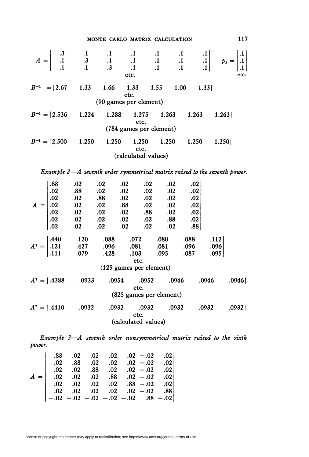### MONTE CARLO MATRIX CALCULATION 117

|  |                           |       |                         |       | $A = \begin{vmatrix} .3 & .1 & .1 & .1 & .1 & .1 & .1 & .1 \\ .1 & .3 & .1 & .1 & .1 & .1 & .1 & .1 \\ .1 & .1 & .3 & .1 & .1 & .1 & .1 & .1 \end{vmatrix}$ $p_i = \begin{vmatrix} .1 \\ .1 \\ .1 \end{vmatrix}$ |       |     |
|--|---------------------------|-------|-------------------------|-------|------------------------------------------------------------------------------------------------------------------------------------------------------------------------------------------------------------------|-------|-----|
|  |                           |       |                         |       |                                                                                                                                                                                                                  |       |     |
|  |                           |       | etc.                    |       |                                                                                                                                                                                                                  |       | etc |
|  |                           |       | etc.                    |       | $B^{-1}$ = 2.67 1.33 1.66 1.33 1.55 1.00 1.33                                                                                                                                                                    |       |     |
|  |                           |       | (90 games per element)  |       |                                                                                                                                                                                                                  |       |     |
|  |                           |       | etc.                    |       | $B^{-1} =  2.536 \t1.224 \t1.288 \t1.275 \t1.263 \t1.263 \t1.263 $                                                                                                                                               |       |     |
|  |                           |       | (784 games per element) |       |                                                                                                                                                                                                                  |       |     |
|  | $B^{-1} =  2.500 \t1.250$ | 1.250 | 1.250<br>etc.           | 1.250 | 1.250                                                                                                                                                                                                            | 1.250 |     |
|  |                           |       | (calculated values)     |       |                                                                                                                                                                                                                  |       |     |
|  |                           |       |                         |       |                                                                                                                                                                                                                  |       |     |

Example 2—A seventh order symmetrical matrix raised to the seventh power.

|  | .88                                                          | .02                                                                                                  | .02                        | .02   | .02                     | .02                     | .02  |                      |       |
|--|--------------------------------------------------------------|------------------------------------------------------------------------------------------------------|----------------------------|-------|-------------------------|-------------------------|------|----------------------|-------|
|  | .02                                                          | .88                                                                                                  | .02                        | .02   | .02                     | $.02\,$                 | .02  |                      |       |
|  | .02                                                          | .02                                                                                                  | .88                        | .02   | .02                     | .02                     | .02  |                      |       |
|  |                                                              | $\overline{\phantom{0}02}$                                                                           | .02                        | .88   | .02                     | .02                     | .02  |                      |       |
|  |                                                              | $\overline{\phantom{0}02}$                                                                           | .02                        | .02   | .88                     | .02                     | .02  |                      |       |
|  |                                                              | $\overline{\phantom{0}02}$                                                                           | .02                        | .02   | .02                     | .88                     | .02  |                      |       |
|  | $A = \begin{bmatrix} .02 \\ .02 \\ .02 \\ .02 \end{bmatrix}$ | $\cdot$ .02                                                                                          | $\overline{\phantom{0}02}$ | .02   | .02                     | .02                     | .88  |                      |       |
|  |                                                              |                                                                                                      |                            |       |                         |                         |      |                      |       |
|  |                                                              | $A^7 = \begin{vmatrix} .440 & .120 & .088 \\ .121 & .427 & .096 \\ .111 & .079 & .428 \end{vmatrix}$ |                            |       | .072                    | .080                    | .088 | .112                 |       |
|  |                                                              |                                                                                                      |                            |       | .081                    | .081                    | .096 | .096                 |       |
|  |                                                              |                                                                                                      |                            |       |                         | $.103 \qquad .095$      | .087 | .095                 |       |
|  |                                                              |                                                                                                      |                            |       | etc.                    |                         |      |                      |       |
|  |                                                              |                                                                                                      |                            |       | (125 games per element) |                         |      |                      |       |
|  |                                                              | $A^7 =  .4388$ .0933                                                                                 |                            | .0954 | .0952                   | .0946                   |      | .0946                | .0946 |
|  |                                                              |                                                                                                      |                            |       | etc.                    |                         |      |                      |       |
|  |                                                              |                                                                                                      |                            |       |                         | (825 games per element) |      |                      |       |
|  |                                                              |                                                                                                      |                            |       |                         |                         |      |                      |       |
|  |                                                              | $A^7 =  .4410$ .0932                                                                                 |                            | .0932 | .0932                   |                         |      | $.0932 \qquad .0932$ | .0932 |
|  |                                                              |                                                                                                      |                            |       | etc.                    |                         |      |                      |       |
|  |                                                              |                                                                                                      |                            |       | (calculated values)     |                         |      |                      |       |
|  |                                                              |                                                                                                      |                            |       |                         |                         |      |                      |       |

Example 3—A seventh order nonsymmetrical matrix raised to the sixth power.

|                                                                           |  | $.88 \t .02 \t .02 \t .02 \t .02 \t .02 -.02 \t .03$                    |  |  |
|---------------------------------------------------------------------------|--|-------------------------------------------------------------------------|--|--|
|                                                                           |  | $.02 \t .88 \t .02 \t .02 \t .02 \t .02 -.02 \t .02$                    |  |  |
|                                                                           |  | $.02 \quad .02 \quad .88 \quad .02 \quad .02 \quad .02 \quad .02$       |  |  |
| $A =$ 02 .02 .02 .03 .03 .02 -.02 .02                                     |  |                                                                         |  |  |
|                                                                           |  | $0.02$ $0.02$ $0.02$ $0.02$ $0.88$ $-0.02$ $0.02$                       |  |  |
|                                                                           |  | $.02 \quad .02 \quad .02 \quad .02 \quad .02 \quad .02 - .02 \quad .88$ |  |  |
| $\vert -.02 \; -.02 \; -.02 \; -.02 \; -.02 \; -.02 \; .88 \; -.02 \vert$ |  |                                                                         |  |  |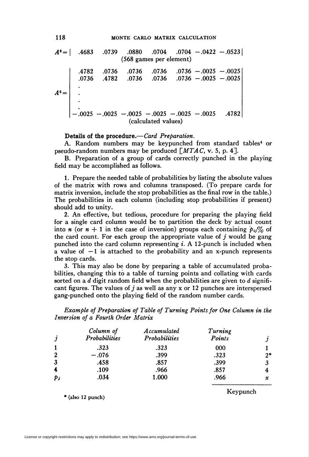$A^6 =$  .4683 .0739 .0880 .0704 .0704 -.0422 -.0523 (568 games per element) 4782 .0736 0736 .4782 .0736 .0736 .0736 .0736  $.0736 - .0025 - .0025$  $.0736 - .0025 - .0025$  $-0.0025 -0.0025 -0.0025 -0.0025 -0.0025 -0.0025$ (calculated values)

#### Details of the procedure.—Card Preparation.

A. Random numbers may be keypunched from standard tables<sup>4</sup> or pseudo-random numbers may be produced  $\lceil MTAG, v. 5, p. 4 \rceil$ .

B. Preparation of a group of cards correctly punched in the playing field may be accomplished as follows.

1. Prepare the needed table of probabilities by listing the absolute values of the matrix with rows and columns transposed. (To prepare cards for matrix inversion, include the stop probabilities as the final row in the table.) The probabilities in each column (including stop probabilities if present) should add to unity.

2. An effective, but tedious, procedure for preparing the playing field for a single card column would be to partition the deck by actual count into *n* (or  $n + 1$  in the case of inversion) groups each containing  $p_{ij}\%$  of the card count. For each group the appropriate value of  $j$  would be gang punched into the card column representing  $i$ . A 12-punch is included when a value of  $-1$  is attached to the probability and an x-punch represents the stop cards.

3. This may also be done by preparing a table of accumulated probabilities, changing this to a table of turning points and collating with cards sorted on a d digit random field when the probabilities are given to d significant figures. The values of j as well as any x or 12 punches are interspersed gang-punched onto the playing field of the random number cards.

Example of Preparation of Table of Turning Points for One Column in the Inversion of a Fourth Order Matrix

| $\boldsymbol{\jmath}$ | Column of<br>Probabilities | Accumulated<br>Probabilities | Turning<br>Points |      |
|-----------------------|----------------------------|------------------------------|-------------------|------|
|                       | .323                       | .323                         | 000               |      |
| $\mathbf{2}$          | $-.076$                    | .399                         | .323              | $2*$ |
| $\mathbf{3}$          | .458                       | .857                         | .399              |      |
| 4                     | .109                       | .966                         | .857              |      |
| $p_i$                 | .034                       | 1.000                        | .966              | x    |

\* (also 12 punch)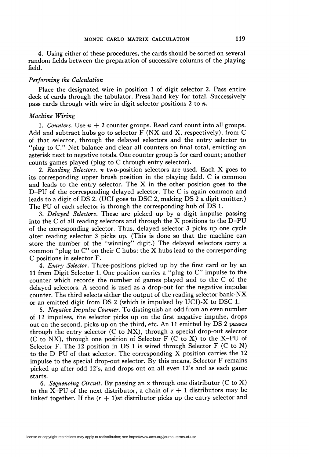4. Using either of these procedures, the cards should be sorted on several random fields between the preparation of successive columns of the playing field.

#### Performing the Calculation

Place the designated wire in position 1 of digit selector 2. Pass entire deck of cards through the tabulator. Press hand key for total. Successively pass cards through with wire in digit selector positions 2 to  $n$ .

#### Machine Wiring

1. Counters. Use  $n + 2$  counter groups. Read card count into all groups. Add and subtract hubs go to selector  $F$  (NX and X, respectively), from C of that selector, through the delayed selectors and the entry selector to "plug to C." Net balance and clear all counters on final total, emitting an asterisk next to negative totals. One counter group is for card count; another counts games played (plug to C through entry selector).

2. Reading Selectors,  $n$  two-position selectors are used. Each  $X$  goes to its corresponding upper brush position in the playing field. C is common and leads to the entry selector. The X in the other position goes to the D-PU of the corresponding delayed selector. The C is again common and leads to a digit of DS 2. (UCI goes to DSC 2, making DS 2 a digit emitter.) The PU of each selector is through the corresponding hub of DS 1.

3. Delayed Selectors. These are picked up by a digit impulse passing into the C of all reading selectors and through the X positions to the D-PU of the corresponding selector. Thus, delayed selector 3 picks up one cycle after reading selector 3 picks up. (This is done so that the machine can store the number of the "winning" digit.) The delayed selectors carry a common "plug to C" on their C hubs: the X hubs lead to the corresponding C positions in selector F.

4. Entry Selector. Three-positions picked up by the first card or by an 11 from Digit Selector 1. One position carries a "plug to C" impulse to the counter which records the number of games played and to the C of the delayed selectors. A second is used as a drop-out for the negative impulse counter. The third selects either the output of the reading selector bank-NX or an emitted digit from DS 2 (which is impulsed by UCI)-X to DSC 1.

5. Negative Impulse Counter. To distinguish an odd from an even number of 12 impulses, the selector picks up on the first negative impulse, drops out on the second, picks up on the third, etc. An 11 emitted by DS 2 passes through the entry selector (C to NX), through a special drop-out selector (C to NX), through one position of Selector  $F$  (C to X) to the X-PU of Selector F. The 12 position in DS 1 is wired through Selector F (C to N) to the D-PU of that selector. The corresponding X position carries the 12 impulse to the special drop-out selector. By this means, Selector F remains picked up after odd 12's, and drops out on all even 12's and as each game starts.

6. Sequencing Circuit. By passing an x through one distributor (C to X) to the X-PU of the next distributor, a chain of  $r + 1$  distributors may be linked together. If the  $(r + 1)$ st distributor picks up the entry selector and